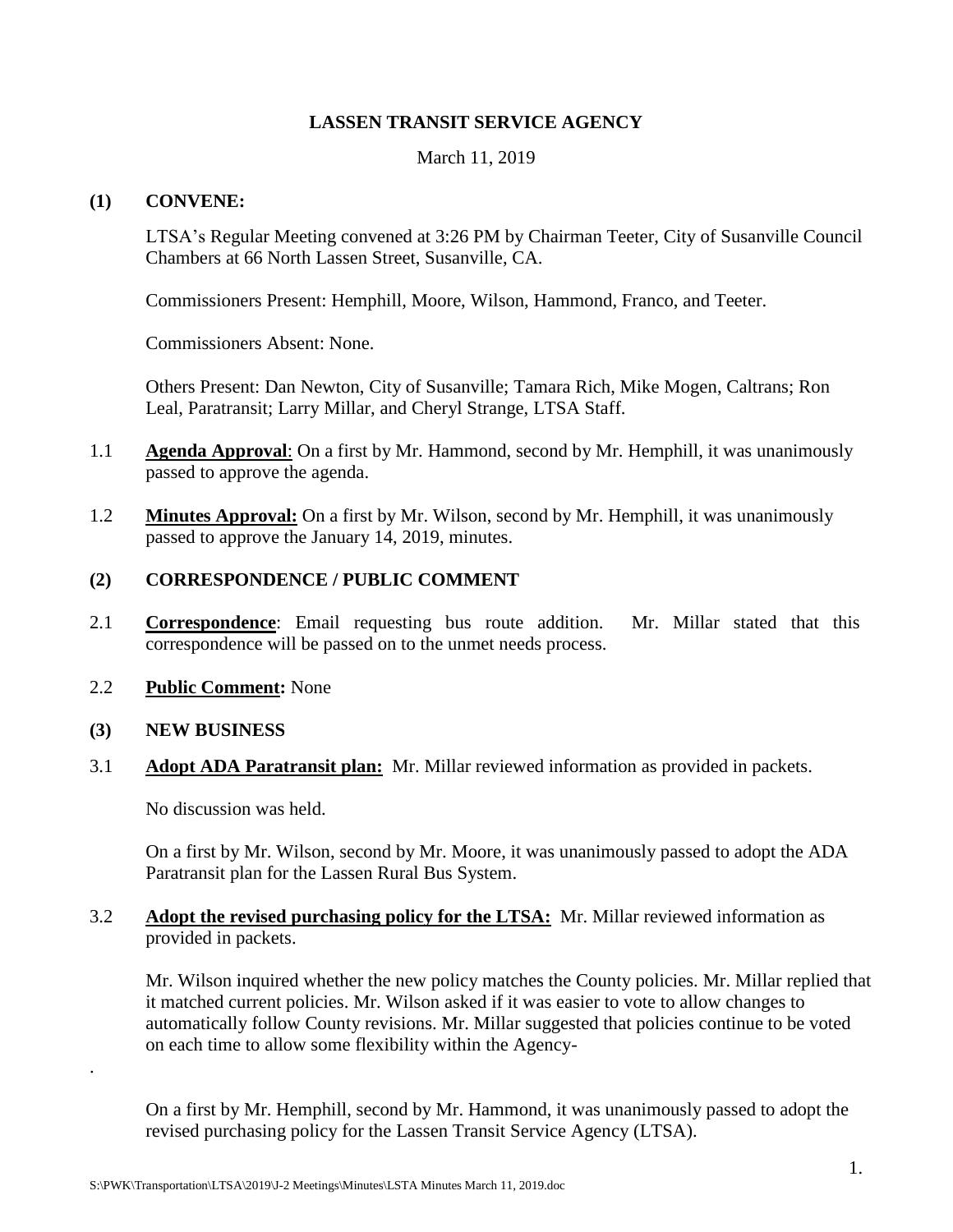## **LASSEN TRANSIT SERVICE AGENCY**

March 11, 2019

#### **(1) CONVENE:**

LTSA's Regular Meeting convened at 3:26 PM by Chairman Teeter, City of Susanville Council Chambers at 66 North Lassen Street, Susanville, CA.

Commissioners Present: Hemphill, Moore, Wilson, Hammond, Franco, and Teeter.

Commissioners Absent: None.

Others Present: Dan Newton, City of Susanville; Tamara Rich, Mike Mogen, Caltrans; Ron Leal, Paratransit; Larry Millar, and Cheryl Strange, LTSA Staff.

- 1.1 **Agenda Approval**: On a first by Mr. Hammond, second by Mr. Hemphill, it was unanimously passed to approve the agenda.
- 1.2 **Minutes Approval:** On a first by Mr. Wilson, second by Mr. Hemphill, it was unanimously passed to approve the January 14, 2019, minutes.

## **(2) CORRESPONDENCE / PUBLIC COMMENT**

- 2.1 **Correspondence**: Email requesting bus route addition. Mr. Millar stated that this correspondence will be passed on to the unmet needs process.
- 2.2 **Public Comment:** None

#### **(3) NEW BUSINESS**

.

3.1 **Adopt ADA Paratransit plan:** Mr. Millar reviewed information as provided in packets.

No discussion was held.

On a first by Mr. Wilson, second by Mr. Moore, it was unanimously passed to adopt the ADA Paratransit plan for the Lassen Rural Bus System.

## 3.2 **Adopt the revised purchasing policy for the LTSA:** Mr. Millar reviewed information as provided in packets.

Mr. Wilson inquired whether the new policy matches the County policies. Mr. Millar replied that it matched current policies. Mr. Wilson asked if it was easier to vote to allow changes to automatically follow County revisions. Mr. Millar suggested that policies continue to be voted on each time to allow some flexibility within the Agency-

On a first by Mr. Hemphill, second by Mr. Hammond, it was unanimously passed to adopt the revised purchasing policy for the Lassen Transit Service Agency (LTSA).